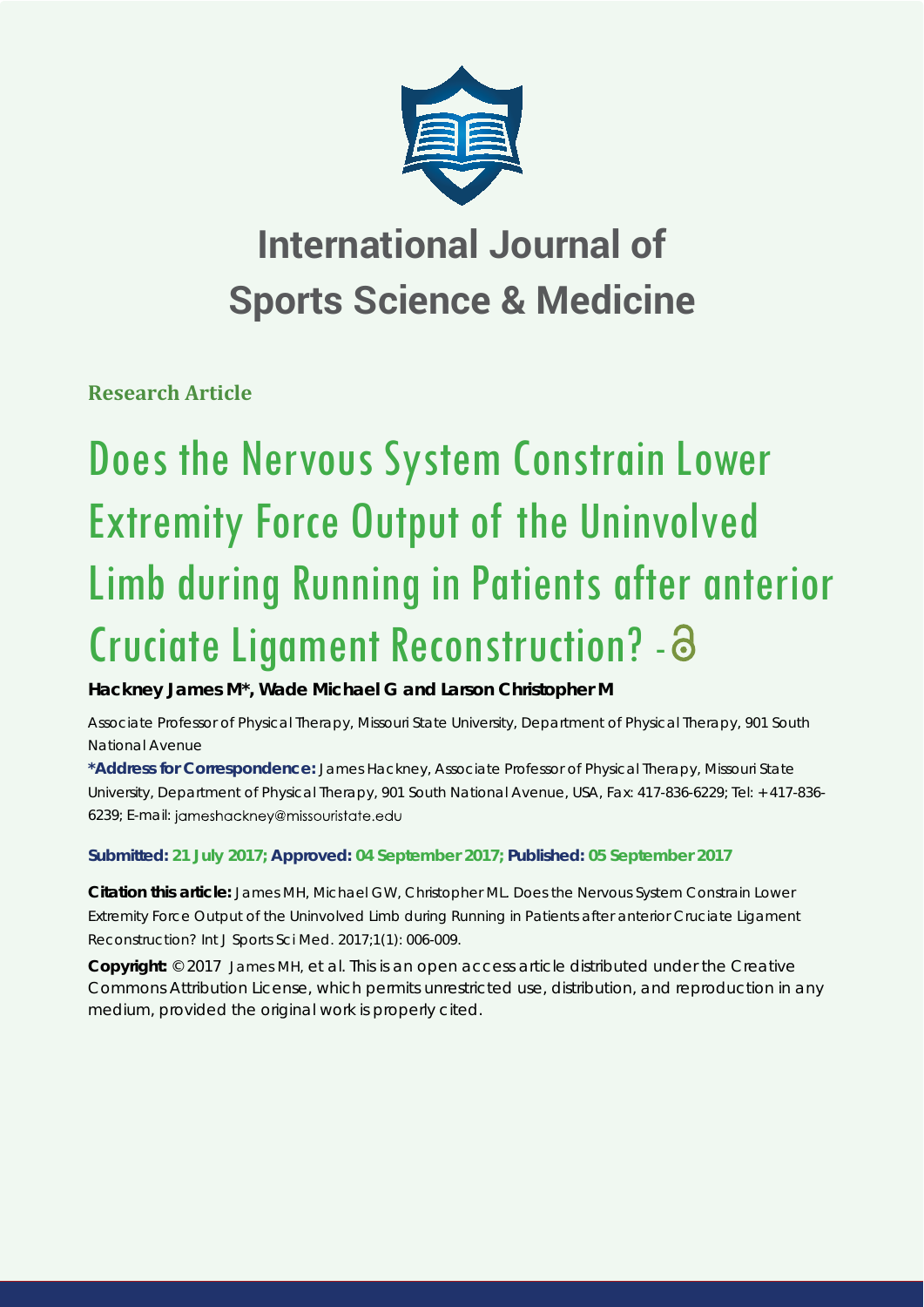

## **International Journal of Sports Science & Medicine**

**Research Article**

# Does the Nervous System Constrain Lower Extremity Force Output of the Uninvolved Limb during Running in Patients after anterior Cruciate Ligament Reconstruction? -

**Hackney James M\*, Wade Michael G and Larson Christopher M**

*Associate Professor of Physical Therapy, Missouri State University, Department of Physical Therapy, 901 South National Avenue*

**\*Address for Correspondence:** James Hackney, Associate Professor of Physical Therapy, Missouri State University, Department of Physical Therapy, 901 South National Avenue, USA, Fax: 417-836-6229; Tel: + 417-836- 6239; E-mail: jameshackney@missouristate.edu

### **Submitted: 21 July 2017; Approved: 04 September 2017; Published: 05 September 2017**

**Citation this article:** James MH, Michael GW, Christopher ML. Does the Nervous System Constrain Lower Extremity Force Output of the Uninvolved Limb during Running in Patients after anterior Cruciate Ligament Reconstruction? Int J Sports Sci Med. 2017;1(1): 006-009.

**Copyright:** © 2017 James MH, et al. This is an open access article distributed under the Creative Commons Attribution License, which permits unrestricted use, distribution, and reproduction in any medium, provided the original work is properly cited.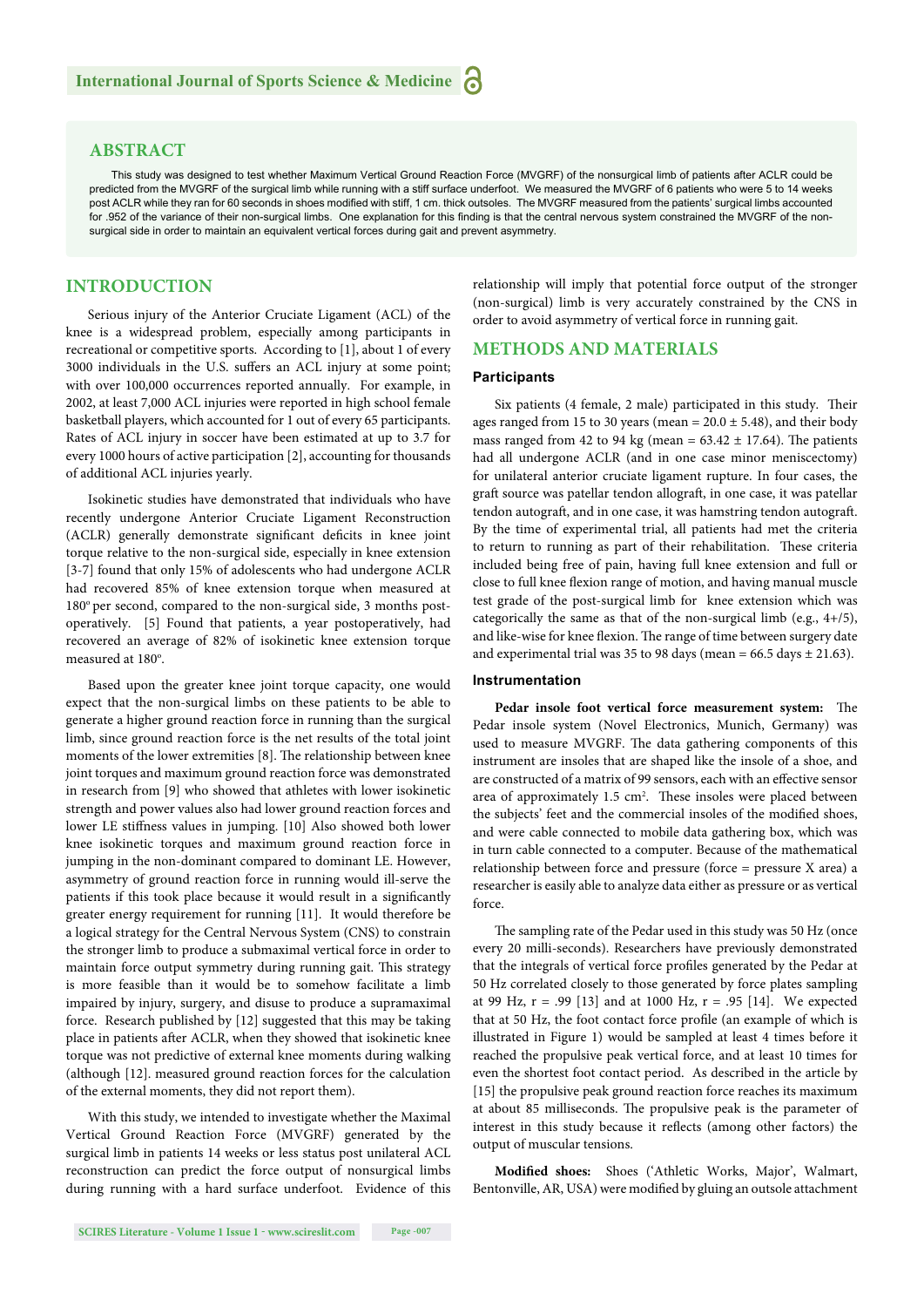#### **ABSTRACT**

This study was designed to test whether Maximum Vertical Ground Reaction Force (MVGRF) of the nonsurgical limb of patients after ACLR could be predicted from the MVGRF of the surgical limb while running with a stiff surface underfoot. We measured the MVGRF of 6 patients who were 5 to 14 weeks post ACLR while they ran for 60 seconds in shoes modified with stiff, 1 cm. thick outsoles. The MVGRF measured from the patients' surgical limbs accounted for .952 of the variance of their non-surgical limbs. One explanation for this finding is that the central nervous system constrained the MVGRF of the nonsurgical side in order to maintain an equivalent vertical forces during gait and prevent asymmetry.

#### **INTRODUCTION**

Serious injury of the Anterior Cruciate Ligament (ACL) of the knee is a widespread problem, especially among participants in recreational or competitive sports. According to [1], about 1 of every 3000 individuals in the U.S. suffers an ACL injury at some point; with over 100,000 occurrences reported annually. For example, in 2002, at least 7,000 ACL injuries were reported in high school female basketball players, which accounted for 1 out of every 65 participants. Rates of ACL injury in soccer have been estimated at up to 3.7 for every 1000 hours of active participation [2], accounting for thousands of additional ACL injuries yearly.

Isokinetic studies have demonstrated that individuals who have recently undergone Anterior Cruciate Ligament Reconstruction (ACLR) generally demonstrate significant deficits in knee joint torque relative to the non-surgical side, especially in knee extension [3-7] found that only 15% of adolescents who had undergone ACLR had recovered 85% of knee extension torque when measured at  $180^\circ$  per second, compared to the non-surgical side, 3 months postoperatively. [5] Found that patients, a year postoperatively, had recovered an average of 82% of isokinetic knee extension torque measured at 180°.

Based upon the greater knee joint torque capacity, one would expect that the non-surgical limbs on these patients to be able to generate a higher ground reaction force in running than the surgical limb, since ground reaction force is the net results of the total joint moments of the lower extremities [8]. The relationship between knee joint torques and maximum ground reaction force was demonstrated in research from [9] who showed that athletes with lower isokinetic strength and power values also had lower ground reaction forces and lower LE stiffness values in jumping. [10] Also showed both lower knee isokinetic torques and maximum ground reaction force in jumping in the non-dominant compared to dominant LE. However, asymmetry of ground reaction force in running would ill-serve the patients if this took place because it would result in a significantly greater energy requirement for running [11]. It would therefore be a logical strategy for the Central Nervous System (CNS) to constrain the stronger limb to produce a submaximal vertical force in order to maintain force output symmetry during running gait. This strategy is more feasible than it would be to somehow facilitate a limb impaired by injury, surgery, and disuse to produce a supramaximal force. Research published by [12] suggested that this may be taking place in patients after ACLR, when they showed that isokinetic knee torque was not predictive of external knee moments during walking (although [12]. measured ground reaction forces for the calculation of the external moments, they did not report them).

With this study, we intended to investigate whether the Maximal Vertical Ground Reaction Force (MVGRF) generated by the surgical limb in patients 14 weeks or less status post unilateral ACL reconstruction can predict the force output of nonsurgical limbs during running with a hard surface underfoot. Evidence of this relationship will imply that potential force output of the stronger (non-surgical) limb is very accurately constrained by the CNS in order to avoid asymmetry of vertical force in running gait.

#### **METHODS AND MATERIALS**

#### **Participants**

Six patients (4 female, 2 male) participated in this study. Their ages ranged from 15 to 30 years (mean =  $20.0 \pm 5.48$ ), and their body mass ranged from 42 to 94 kg (mean =  $63.42 \pm 17.64$ ). The patients had all undergone ACLR (and in one case minor meniscectomy) for unilateral anterior cruciate ligament rupture. In four cases, the graft source was patellar tendon allograft, in one case, it was patellar tendon autograft, and in one case, it was hamstring tendon autograft. By the time of experimental trial, all patients had met the criteria to return to running as part of their rehabilitation. These criteria included being free of pain, having full knee extension and full or close to full knee flexion range of motion, and having manual muscle test grade of the post-surgical limb for knee extension which was categorically the same as that of the non-surgical limb (e.g., 4+/5), and like-wise for knee flexion. The range of time between surgery date and experimental trial was 35 to 98 days (mean =  $66.5$  days  $\pm$  21.63).

#### **Instrumentation**

Pedar insole foot vertical force measurement system: The Pedar insole system (Novel Electronics, Munich, Germany) was used to measure MVGRF. The data gathering components of this instrument are insoles that are shaped like the insole of a shoe, and are constructed of a matrix of 99 sensors, each with an effective sensor area of approximately 1.5 cm<sup>2</sup>. These insoles were placed between the subjects' feet and the commercial insoles of the modified shoes, and were cable connected to mobile data gathering box, which was in turn cable connected to a computer. Because of the mathematical relationship between force and pressure (force = pressure X area) a researcher is easily able to analyze data either as pressure or as vertical force.

The sampling rate of the Pedar used in this study was 50 Hz (once every 20 milli-seconds). Researchers have previously demonstrated that the integrals of vertical force profiles generated by the Pedar at 50 Hz correlated closely to those generated by force plates sampling at 99 Hz,  $r = .99$  [13] and at 1000 Hz,  $r = .95$  [14]. We expected that at 50 Hz, the foot contact force profile (an example of which is illustrated in Figure 1) would be sampled at least 4 times before it reached the propulsive peak vertical force, and at least 10 times for even the shortest foot contact period. As described in the article by [15] the propulsive peak ground reaction force reaches its maximum at about 85 milliseconds. The propulsive peak is the parameter of interest in this study because it reflects (among other factors) the output of muscular tensions.

Modified shoes: Shoes ('Athletic Works, Major', Walmart, Bentonville, AR, USA) were modified by gluing an outsole attachment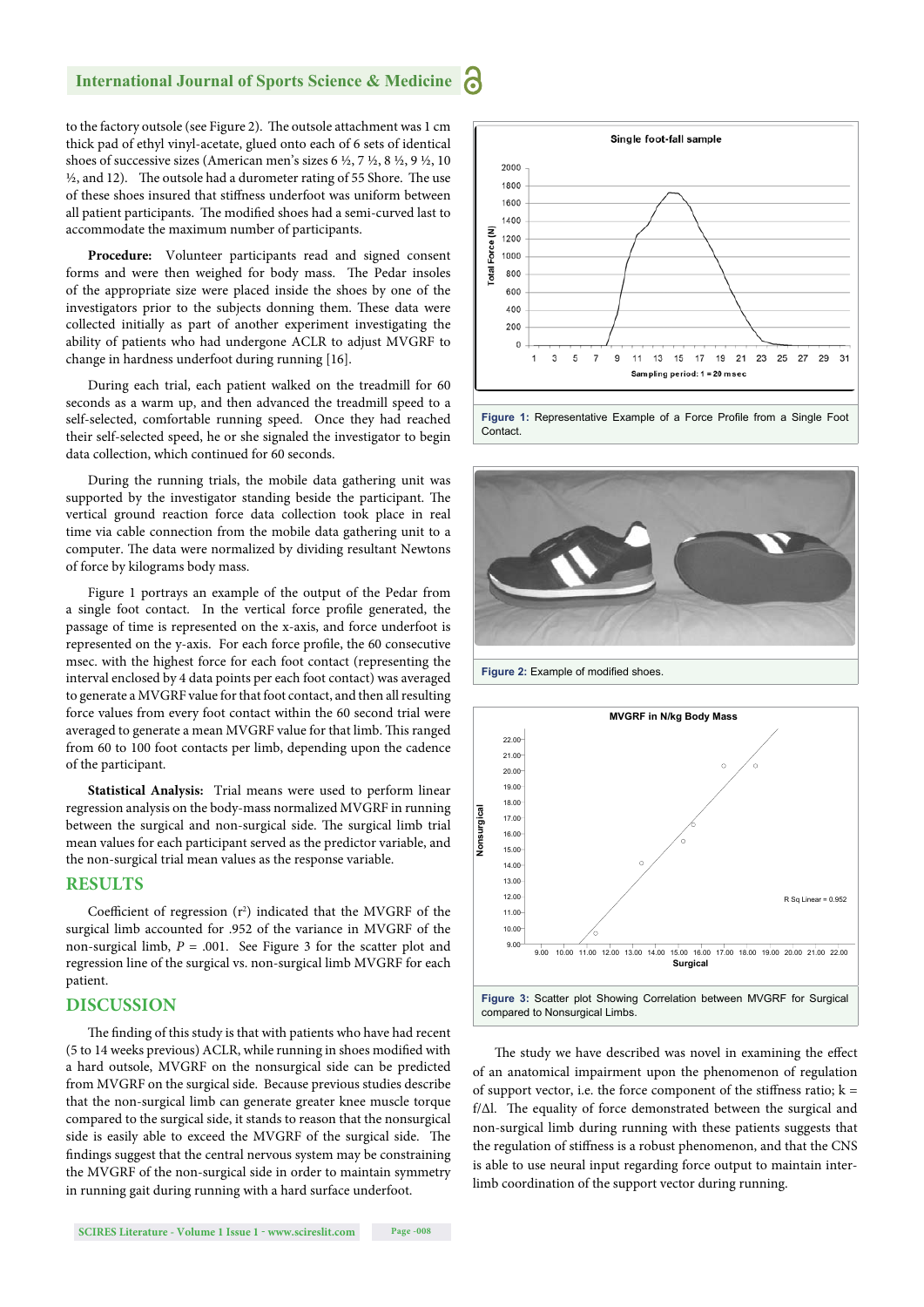#### **International Journal of Sports Science & Medicine**

to the factory outsole (see Figure 2). The outsole attachment was 1 cm thick pad of ethyl vinyl-acetate, glued onto each of 6 sets of identical shoes of successive sizes (American men's sizes 6 ½, 7 ½, 8 ½, 9 ½, 10  $\frac{1}{2}$ , and 12). The outsole had a durometer rating of 55 Shore. The use of these shoes insured that stiffness underfoot was uniform between all patient participants. The modified shoes had a semi-curved last to accommodate the maximum number of participants.

**Procedure:** Volunteer participants read and signed consent forms and were then weighed for body mass. The Pedar insoles of the appropriate size were placed inside the shoes by one of the investigators prior to the subjects donning them. These data were collected initially as part of another experiment investigating the ability of patients who had undergone ACLR to adjust MVGRF to change in hardness underfoot during running [16].

During each trial, each patient walked on the treadmill for 60 seconds as a warm up, and then advanced the treadmill speed to a self-selected, comfortable running speed. Once they had reached their self-selected speed, he or she signaled the investigator to begin data collection, which continued for 60 seconds.

During the running trials, the mobile data gathering unit was supported by the investigator standing beside the participant. The vertical ground reaction force data collection took place in real time via cable connection from the mobile data gathering unit to a computer. The data were normalized by dividing resultant Newtons of force by kilograms body mass.

Figure 1 portrays an example of the output of the Pedar from a single foot contact. In the vertical force profile generated, the passage of time is represented on the x-axis, and force underfoot is represented on the y-axis. For each force profile, the 60 consecutive msec. with the highest force for each foot contact (representing the interval enclosed by 4 data points per each foot contact) was averaged to generate a MVGRF value for that foot contact, and then all resulting force values from every foot contact within the 60 second trial were averaged to generate a mean MVGRF value for that limb. This ranged from 60 to 100 foot contacts per limb, depending upon the cadence of the participant.

**Statistical Analysis:** Trial means were used to perform linear regression analysis on the body-mass normalized MVGRF in running between the surgical and non-surgical side. The surgical limb trial mean values for each participant served as the predictor variable, and the non-surgical trial mean values as the response variable.

#### **RESULTS**

Coefficient of regression  $(r^2)$  indicated that the MVGRF of the surgical limb accounted for .952 of the variance in MVGRF of the non-surgical limb,  $P = .001$ . See Figure 3 for the scatter plot and regression line of the surgical vs. non-surgical limb MVGRF for each patient.

#### **DISCUSSION**

The finding of this study is that with patients who have had recent  $(5$  to 14 weeks previous) ACLR, while running in shoes modified with a hard outsole, MVGRF on the nonsurgical side can be predicted from MVGRF on the surgical side. Because previous studies describe that the non-surgical limb can generate greater knee muscle torque compared to the surgical side, it stands to reason that the nonsurgical side is easily able to exceed the MVGRF of the surgical side. The findings suggest that the central nervous system may be constraining the MVGRF of the non-surgical side in order to maintain symmetry in running gait during running with a hard surface underfoot.



Figure 1: Representative Example of a Force Profile from a Single Foot **Contact** 



**Figure 2: Example of modified shoes.** 



The study we have described was novel in examining the effect of an anatomical impairment upon the phenomenon of regulation of support vector, i.e. the force component of the stiffness ratio;  $k =$  $f/\Delta l$ . The equality of force demonstrated between the surgical and non-surgical limb during running with these patients suggests that the regulation of stiffness is a robust phenomenon, and that the CNS is able to use neural input regarding force output to maintain interlimb coordination of the support vector during running.